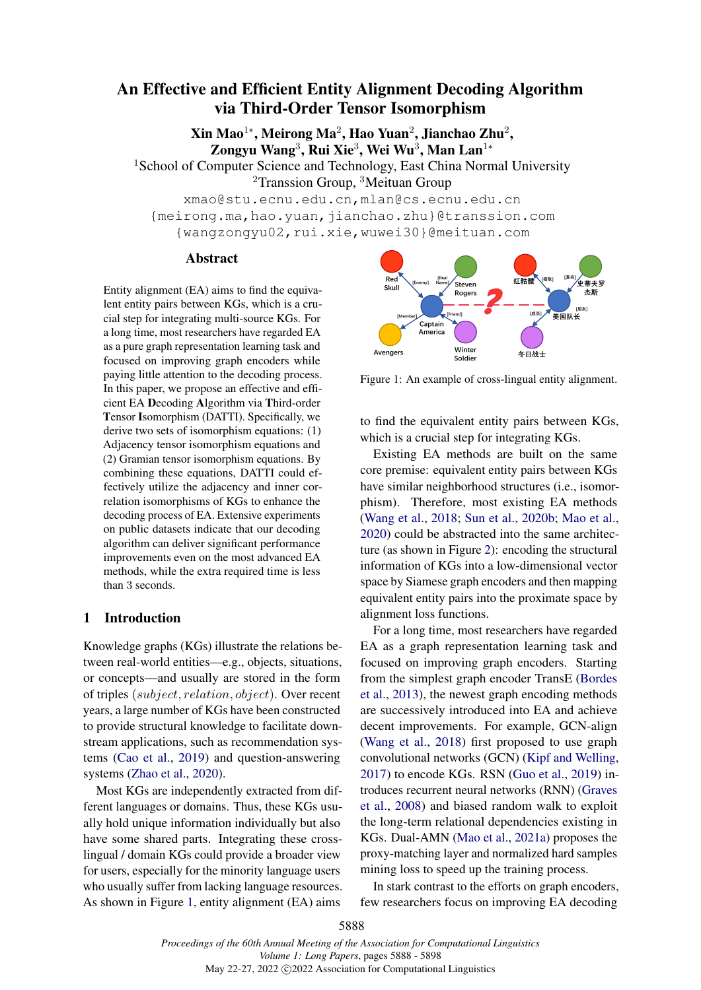# An Effective and Efficient Entity Alignment Decoding Algorithm via Third-Order Tensor Isomorphism

Xin Mao $^{1*}$ , Meirong Ma $^{2}$ , Hao Yuan $^{2}$ , Jianchao Zhu $^{2}$ , Zongyu Wang $^3$ , Rui Xie $^3$ , Wei Wu $^3$ , Man Lan $^{1\ast}$ <sup>1</sup> School of Computer Science and Technology, East China Normal University

 ${}^{2}$ Transsion Group,  ${}^{3}$ Meituan Group

xmao@stu.ecnu.edu.cn,mlan@cs.ecnu.edu.cn {meirong.ma,hao.yuan,jianchao.zhu}@transsion.com {wangzongyu02,rui.xie,wuwei30}@meituan.com

## Abstract

Entity alignment (EA) aims to find the equivalent entity pairs between KGs, which is a crucial step for integrating multi-source KGs. For a long time, most researchers have regarded EA as a pure graph representation learning task and focused on improving graph encoders while paying little attention to the decoding process. In this paper, we propose an effective and efficient EA Decoding Algorithm via Third-order Tensor Isomorphism (DATTI). Specifically, we derive two sets of isomorphism equations: (1) Adjacency tensor isomorphism equations and (2) Gramian tensor isomorphism equations. By combining these equations, DATTI could effectively utilize the adjacency and inner correlation isomorphisms of KGs to enhance the decoding process of EA. Extensive experiments on public datasets indicate that our decoding algorithm can deliver significant performance improvements even on the most advanced EA methods, while the extra required time is less than 3 seconds.

## <span id="page-0-1"></span>1 Introduction

Knowledge graphs (KGs) illustrate the relations between real-world entities—e.g., objects, situations, or concepts—and usually are stored in the form of triples (subject, relation, object). Over recent years, a large number of KGs have been constructed to provide structural knowledge to facilitate downstream applications, such as recommendation systems [\(Cao et al.,](#page-8-0) [2019\)](#page-8-0) and question-answering systems [\(Zhao et al.,](#page-10-0) [2020\)](#page-10-0).

Most KGs are independently extracted from different languages or domains. Thus, these KGs usually hold unique information individually but also have some shared parts. Integrating these crosslingual / domain KGs could provide a broader view for users, especially for the minority language users who usually suffer from lacking language resources. As shown in Figure [1,](#page-0-0) entity alignment (EA) aims

<span id="page-0-0"></span>

Figure 1: An example of cross-lingual entity alignment.

to find the equivalent entity pairs between KGs, which is a crucial step for integrating KGs.

Existing EA methods are built on the same core premise: equivalent entity pairs between KGs have similar neighborhood structures (i.e., isomorphism). Therefore, most existing EA methods [\(Wang et al.,](#page-9-0) [2018;](#page-9-0) [Sun et al.,](#page-9-1) [2020b;](#page-9-1) [Mao et al.,](#page-8-1) [2020\)](#page-8-1) could be abstracted into the same architecture (as shown in Figure [2\)](#page-1-0): encoding the structural information of KGs into a low-dimensional vector space by Siamese graph encoders and then mapping equivalent entity pairs into the proximate space by alignment loss functions.

For a long time, most researchers have regarded EA as a graph representation learning task and focused on improving graph encoders. Starting from the simplest graph encoder TransE [\(Bordes](#page-8-2) [et al.,](#page-8-2) [2013\)](#page-8-2), the newest graph encoding methods are successively introduced into EA and achieve decent improvements. For example, GCN-align [\(Wang et al.,](#page-9-0) [2018\)](#page-9-0) first proposed to use graph convolutional networks (GCN) [\(Kipf and Welling,](#page-8-3) [2017\)](#page-8-3) to encode KGs. RSN [\(Guo et al.,](#page-8-4) [2019\)](#page-8-4) introduces recurrent neural networks (RNN) [\(Graves](#page-8-5) [et al.,](#page-8-5) [2008\)](#page-8-5) and biased random walk to exploit the long-term relational dependencies existing in KGs. Dual-AMN [\(Mao et al.,](#page-8-6) [2021a\)](#page-8-6) proposes the proxy-matching layer and normalized hard samples mining loss to speed up the training process.

In stark contrast to the efforts on graph encoders, few researchers focus on improving EA decoding

<sup>5888</sup>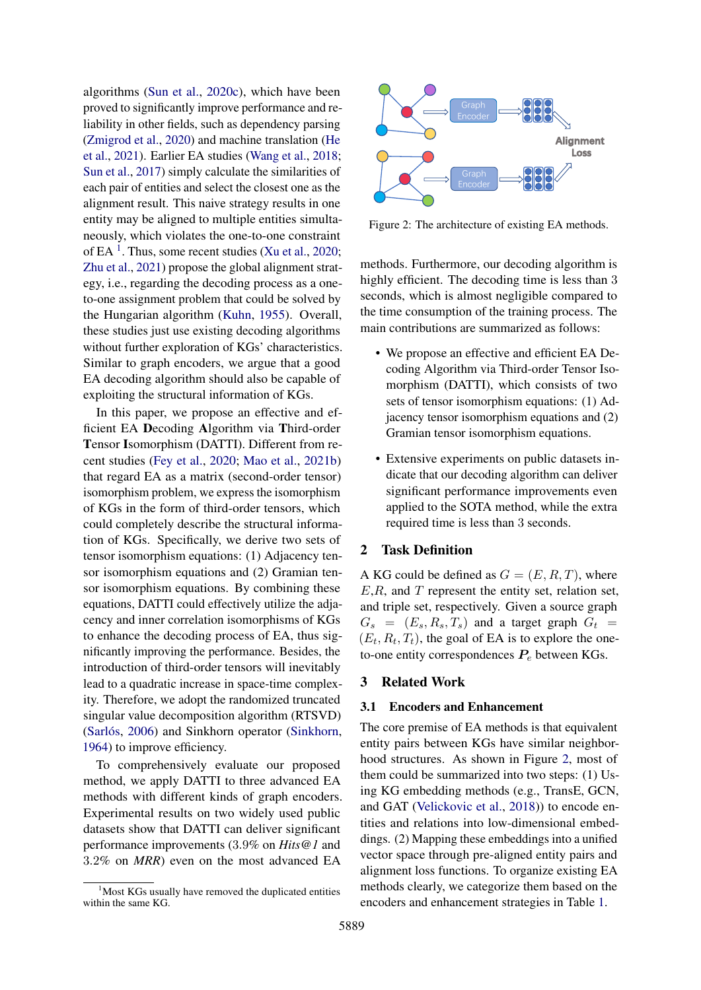algorithms [\(Sun et al.,](#page-9-2) [2020c\)](#page-9-2), which have been proved to significantly improve performance and reliability in other fields, such as dependency parsing [\(Zmigrod et al.,](#page-10-1) [2020\)](#page-10-1) and machine translation [\(He](#page-8-7) [et al.,](#page-8-7) [2021\)](#page-8-7). Earlier EA studies [\(Wang et al.,](#page-9-0) [2018;](#page-9-0) [Sun et al.,](#page-9-3) [2017\)](#page-9-3) simply calculate the similarities of each pair of entities and select the closest one as the alignment result. This naive strategy results in one entity may be aligned to multiple entities simultaneously, which violates the one-to-one constraint of EA<sup>[1](#page-1-1)</sup>. Thus, some recent studies [\(Xu et al.,](#page-9-4) [2020;](#page-9-4) [Zhu et al.,](#page-10-2) [2021\)](#page-10-2) propose the global alignment strategy, i.e., regarding the decoding process as a oneto-one assignment problem that could be solved by the Hungarian algorithm [\(Kuhn,](#page-8-8) [1955\)](#page-8-8). Overall, these studies just use existing decoding algorithms without further exploration of KGs' characteristics. Similar to graph encoders, we argue that a good EA decoding algorithm should also be capable of exploiting the structural information of KGs.

In this paper, we propose an effective and efficient EA Decoding Algorithm via Third-order Tensor Isomorphism (DATTI). Different from recent studies [\(Fey et al.,](#page-8-9) [2020;](#page-8-9) [Mao et al.,](#page-8-10) [2021b\)](#page-8-10) that regard EA as a matrix (second-order tensor) isomorphism problem, we express the isomorphism of KGs in the form of third-order tensors, which could completely describe the structural information of KGs. Specifically, we derive two sets of tensor isomorphism equations: (1) Adjacency tensor isomorphism equations and (2) Gramian tensor isomorphism equations. By combining these equations, DATTI could effectively utilize the adjacency and inner correlation isomorphisms of KGs to enhance the decoding process of EA, thus significantly improving the performance. Besides, the introduction of third-order tensors will inevitably lead to a quadratic increase in space-time complexity. Therefore, we adopt the randomized truncated singular value decomposition algorithm (RTSVD) [\(Sarlós,](#page-9-5) [2006\)](#page-9-5) and Sinkhorn operator [\(Sinkhorn,](#page-9-6) [1964\)](#page-9-6) to improve efficiency.

To comprehensively evaluate our proposed method, we apply DATTI to three advanced EA methods with different kinds of graph encoders. Experimental results on two widely used public datasets show that DATTI can deliver significant performance improvements (3.9% on *Hits@1* and 3.2% on *MRR*) even on the most advanced EA

<span id="page-1-0"></span>

Figure 2: The architecture of existing EA methods.

methods. Furthermore, our decoding algorithm is highly efficient. The decoding time is less than 3 seconds, which is almost negligible compared to the time consumption of the training process. The main contributions are summarized as follows:

- We propose an effective and efficient EA Decoding Algorithm via Third-order Tensor Isomorphism (DATTI), which consists of two sets of tensor isomorphism equations: (1) Adjacency tensor isomorphism equations and (2) Gramian tensor isomorphism equations.
- Extensive experiments on public datasets indicate that our decoding algorithm can deliver significant performance improvements even applied to the SOTA method, while the extra required time is less than 3 seconds.

## 2 Task Definition

A KG could be defined as  $G = (E, R, T)$ , where  $E, R$ , and  $T$  represent the entity set, relation set, and triple set, respectively. Given a source graph  $G_s = (E_s, R_s, T_s)$  and a target graph  $G_t =$  $(E_t, R_t, T_t)$ , the goal of EA is to explore the oneto-one entity correspondences  $P_e$  between KGs.

## 3 Related Work

## <span id="page-1-2"></span>3.1 Encoders and Enhancement

The core premise of EA methods is that equivalent entity pairs between KGs have similar neighborhood structures. As shown in Figure [2,](#page-1-0) most of them could be summarized into two steps: (1) Using KG embedding methods (e.g., TransE, GCN, and GAT [\(Velickovic et al.,](#page-9-7) [2018\)](#page-9-7)) to encode entities and relations into low-dimensional embeddings. (2) Mapping these embeddings into a unified vector space through pre-aligned entity pairs and alignment loss functions. To organize existing EA methods clearly, we categorize them based on the encoders and enhancement strategies in Table [1.](#page-2-0)

<span id="page-1-1"></span> $1$ Most KGs usually have removed the duplicated entities within the same KG.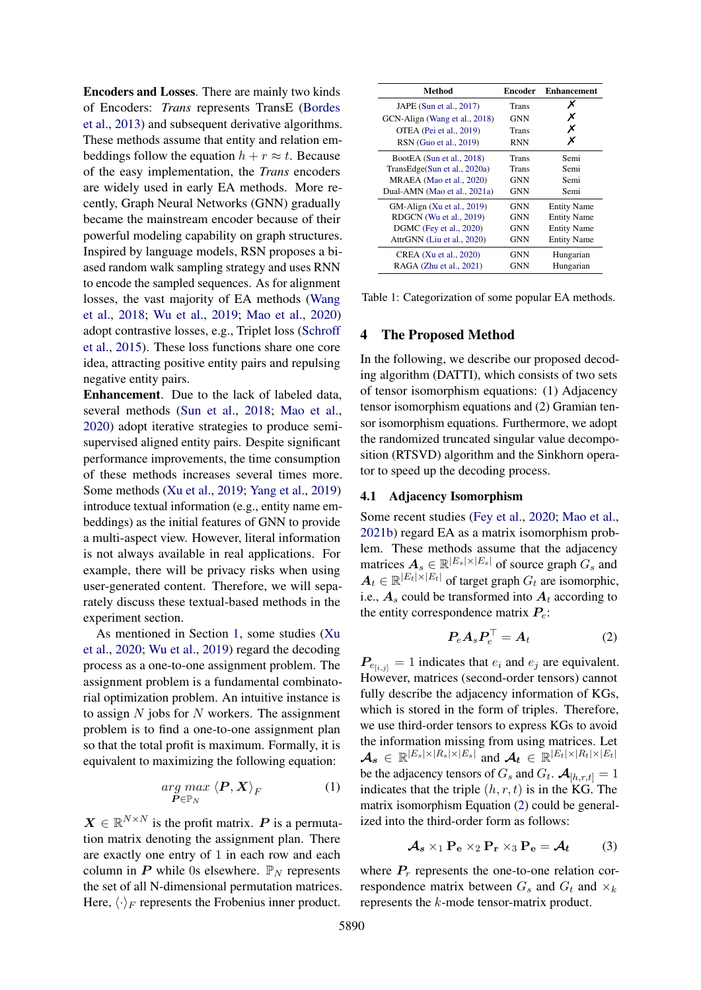Encoders and Losses. There are mainly two kinds of Encoders: *Trans* represents TransE [\(Bordes](#page-8-2) [et al.,](#page-8-2) [2013\)](#page-8-2) and subsequent derivative algorithms. These methods assume that entity and relation embeddings follow the equation  $h + r \approx t$ . Because of the easy implementation, the *Trans* encoders are widely used in early EA methods. More recently, Graph Neural Networks (GNN) gradually became the mainstream encoder because of their powerful modeling capability on graph structures. Inspired by language models, RSN proposes a biased random walk sampling strategy and uses RNN to encode the sampled sequences. As for alignment losses, the vast majority of EA methods [\(Wang](#page-9-0) [et al.,](#page-9-0) [2018;](#page-9-0) [Wu et al.,](#page-9-8) [2019;](#page-9-8) [Mao et al.,](#page-8-1) [2020\)](#page-8-1) adopt contrastive losses, e.g., Triplet loss [\(Schroff](#page-9-9) [et al.,](#page-9-9) [2015\)](#page-9-9). These loss functions share one core idea, attracting positive entity pairs and repulsing negative entity pairs.

Enhancement. Due to the lack of labeled data, several methods [\(Sun et al.,](#page-9-10) [2018;](#page-9-10) [Mao et al.,](#page-8-1) [2020\)](#page-8-1) adopt iterative strategies to produce semisupervised aligned entity pairs. Despite significant performance improvements, the time consumption of these methods increases several times more. Some methods [\(Xu et al.,](#page-9-11) [2019;](#page-9-11) [Yang et al.,](#page-9-12) [2019\)](#page-9-12) introduce textual information (e.g., entity name embeddings) as the initial features of GNN to provide a multi-aspect view. However, literal information is not always available in real applications. For example, there will be privacy risks when using user-generated content. Therefore, we will separately discuss these textual-based methods in the experiment section.

As mentioned in Section [1,](#page-0-1) some studies [\(Xu](#page-9-4) [et al.,](#page-9-4) [2020;](#page-9-4) [Wu et al.,](#page-9-8) [2019\)](#page-9-8) regard the decoding process as a one-to-one assignment problem. The assignment problem is a fundamental combinatorial optimization problem. An intuitive instance is to assign  $N$  jobs for  $N$  workers. The assignment problem is to find a one-to-one assignment plan so that the total profit is maximum. Formally, it is equivalent to maximizing the following equation:

$$
\underset{\boldsymbol{P}\in\mathbb{P}_{N}}{\arg\max} \left\langle \boldsymbol{P},\boldsymbol{X}\right\rangle _{F} \tag{1}
$$

 $X \in \mathbb{R}^{N \times N}$  is the profit matrix. P is a permutation matrix denoting the assignment plan. There are exactly one entry of 1 in each row and each column in P while 0s elsewhere.  $\mathbb{P}_N$  represents the set of all N-dimensional permutation matrices. Here,  $\langle \cdot \rangle_F$  represents the Frobenius inner product.

<span id="page-2-0"></span>

| Method                        | Encoder    | <b>Enhancement</b> |
|-------------------------------|------------|--------------------|
| JAPE (Sun et al., 2017)       | Trans      | х                  |
| GCN-Align (Wang et al., 2018) | <b>GNN</b> | Х                  |
| OTEA (Pei et al., 2019)       | Trans      | Х                  |
| RSN (Guo et al., 2019)        | <b>RNN</b> | x                  |
| BootEA (Sun et al., 2018)     | Trans      | Semi               |
| TransEdge(Sun et al., 2020a)  | Trans      | Semi               |
| MRAEA (Mao et al., 2020)      | <b>GNN</b> | Semi               |
| Dual-AMN (Mao et al., 2021a)  | <b>GNN</b> | Semi               |
| $GM$ -Align (Xu et al., 2019) | <b>GNN</b> | <b>Entity Name</b> |
| RDGCN (Wu et al., 2019)       | GNN        | <b>Entity Name</b> |
| DGMC (Fey et al., 2020)       | GNN        | <b>Entity Name</b> |
| AttrGNN (Liu et al., 2020)    | GNN        | <b>Entity Name</b> |
| CREA (Xu et al., 2020)        | GNN        | Hungarian          |
| RAGA (Zhu et al., 2021)       | GNN        | Hungarian          |

Table 1: Categorization of some popular EA methods.

## 4 The Proposed Method

In the following, we describe our proposed decoding algorithm (DATTI), which consists of two sets of tensor isomorphism equations: (1) Adjacency tensor isomorphism equations and (2) Gramian tensor isomorphism equations. Furthermore, we adopt the randomized truncated singular value decomposition (RTSVD) algorithm and the Sinkhorn operator to speed up the decoding process.

## 4.1 Adjacency Isomorphism

Some recent studies [\(Fey et al.,](#page-8-9) [2020;](#page-8-9) [Mao et al.,](#page-8-10) [2021b\)](#page-8-10) regard EA as a matrix isomorphism problem. These methods assume that the adjacency matrices  $A_s \in \mathbb{R}^{|E_s| \times |E_s|}$  of source graph  $G_s$  and  $A_t \in \mathbb{R}^{|E_t| \times |E_t|}$  of target graph  $G_t$  are isomorphic, i.e.,  $A_s$  could be transformed into  $A_t$  according to the entity correspondence matrix  $P_e$ :

<span id="page-2-1"></span>
$$
P_e A_s P_e^{\top} = A_t \tag{2}
$$

 $P_{e[i,j]} = 1$  indicates that  $e_i$  and  $e_j$  are equivalent. However, matrices (second-order tensors) cannot fully describe the adjacency information of KGs, which is stored in the form of triples. Therefore, we use third-order tensors to express KGs to avoid the information missing from using matrices. Let  $\mathcal{A}_s \in \mathbb{R}^{|E_s|\times |R_s|\times |E_s|}$  and  $\mathcal{A}_t \in \mathbb{R}^{|E_t|\times |R_t|\times |E_t|}$ be the adjacency tensors of  $G_s$  and  $G_t$ .  $\mathcal{A}_{[h,r,t]} = 1$ indicates that the triple  $(h, r, t)$  is in the KG. The matrix isomorphism Equation [\(2\)](#page-2-1) could be generalized into the third-order form as follows:

$$
\mathcal{A}_{s} \times_{1} \mathbf{P}_{e} \times_{2} \mathbf{P}_{r} \times_{3} \mathbf{P}_{e} = \mathcal{A}_{t} \tag{3}
$$

where  $P_r$  represents the one-to-one relation correspondence matrix between  $G_s$  and  $G_t$  and  $\times_k$ represents the k-mode tensor-matrix product.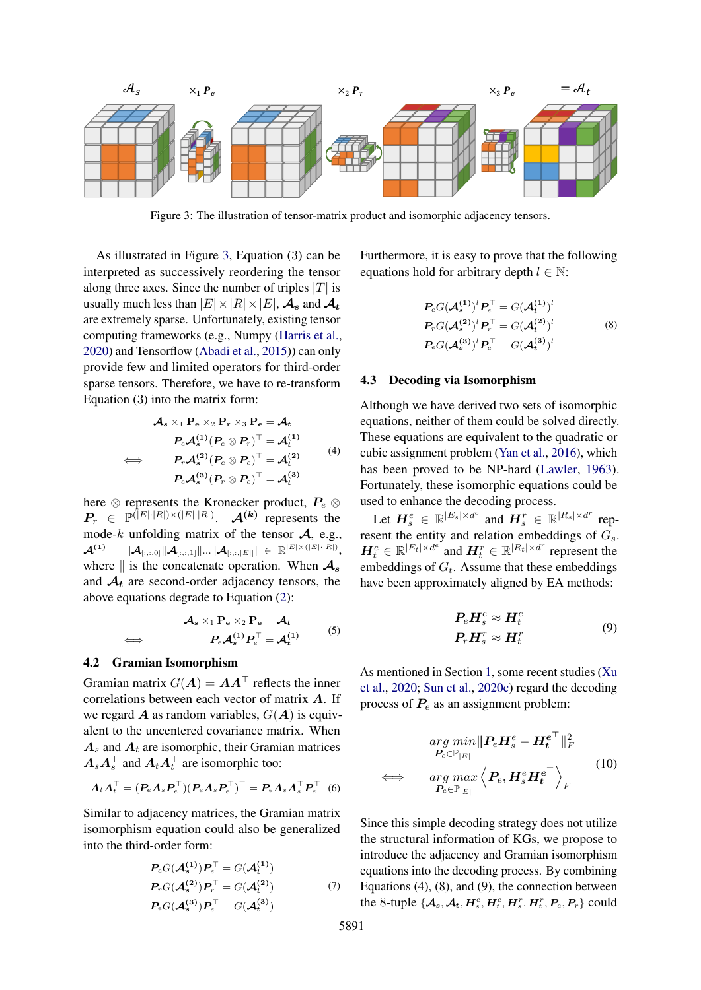<span id="page-3-0"></span>

Figure 3: The illustration of tensor-matrix product and isomorphic adjacency tensors.

As illustrated in Figure [3,](#page-3-0) Equation (3) can be interpreted as successively reordering the tensor along three axes. Since the number of triples  $|T|$  is usually much less than  $|E| \times |R| \times |E|$ ,  $\mathcal{A}_{\bullet}$  and  $\mathcal{A}_{t}$ are extremely sparse. Unfortunately, existing tensor computing frameworks (e.g., Numpy [\(Harris et al.,](#page-8-12) [2020\)](#page-8-12) and Tensorflow [\(Abadi et al.,](#page-8-13) [2015\)](#page-8-13)) can only provide few and limited operators for third-order sparse tensors. Therefore, we have to re-transform Equation (3) into the matrix form:

$$
\mathcal{A}_{s} \times_{1} P_{e} \times_{2} P_{r} \times_{3} P_{e} = \mathcal{A}_{t}
$$
\n
$$
P_{e} \mathcal{A}_{s}^{(1)} (P_{e} \otimes P_{r})^{\top} = \mathcal{A}_{t}^{(1)}
$$
\n
$$
\iff P_{r} \mathcal{A}_{s}^{(2)} (P_{e} \otimes P_{e})^{\top} = \mathcal{A}_{t}^{(2)}
$$
\n
$$
P_{e} \mathcal{A}_{s}^{(3)} (P_{r} \otimes P_{e})^{\top} = \mathcal{A}_{t}^{(3)}
$$
\n
$$
(4)
$$

here ⊗ represents the Kronecker product,  $P_e \otimes$  $P_r \in \mathbb{P}^{(|E| \cdot |R|) \times (|E| \cdot |R|)}$ .  $\mathcal{A}^{(k)}$  represents the mode-k unfolding matrix of the tensor  $\mathcal{A}$ , e.g.,  $\mathcal{A}^{(1)} \;=\; [\mathcal{A}_{[:,:,0]}\|\mathcal{A}_{[:,,:,1]}\|...\|\mathcal{A}_{[:,,:,|E]}\] \; \in \; \mathbb{R}^{|E|\times(|E|\cdot|R|)},$ where  $\parallel$  is the concatenate operation. When  $\mathcal{A}_s$ and  $A_t$  are second-order adjacency tensors, the above equations degrade to Equation [\(2\)](#page-2-1):

$$
\mathcal{A}_s \times_1 \mathbf{P}_e \times_2 \mathbf{P}_e = \mathcal{A}_t
$$
  

$$
\iff \qquad P_e \mathcal{A}_s^{(1)} P_e^{\top} = \mathcal{A}_t^{(1)} \tag{5}
$$

## 4.2 Gramian Isomorphism

Gramian matrix  $G(A) = AA^{\top}$  reflects the inner correlations between each vector of matrix A. If we regard A as random variables,  $G(A)$  is equivalent to the uncentered covariance matrix. When  $A_s$  and  $A_t$  are isomorphic, their Gramian matrices  $\mathbf{A}_s \mathbf{A}_s^{\top}$  and  $\mathbf{A}_t \mathbf{A}_t^{\top}$  are isomorphic too:

$$
\boldsymbol{A}_t \boldsymbol{A}_t^\top = (\boldsymbol{P}_e \boldsymbol{A}_s \boldsymbol{P}_e^\top) (\boldsymbol{P}_e \boldsymbol{A}_s \boldsymbol{P}_e^\top)^\top = \boldsymbol{P}_e \boldsymbol{A}_s \boldsymbol{A}_s^\top \boldsymbol{P}_e^\top \tag{6}
$$

Similar to adjacency matrices, the Gramian matrix isomorphism equation could also be generalized into the third-order form:

$$
P_e G(\mathcal{A}_s^{(1)}) P_e^{\top} = G(\mathcal{A}_t^{(1)})
$$
  
\n
$$
P_r G(\mathcal{A}_s^{(2)}) P_r^{\top} = G(\mathcal{A}_t^{(2)})
$$
  
\n
$$
P_e G(\mathcal{A}_s^{(3)}) P_e^{\top} = G(\mathcal{A}_t^{(3)})
$$
\n(7)

Furthermore, it is easy to prove that the following equations hold for arbitrary depth  $l \in \mathbb{N}$ :

$$
P_e G(\mathcal{A}_s^{(1)})^l P_e^{\top} = G(\mathcal{A}_t^{(1)})^l
$$
  
\n
$$
P_r G(\mathcal{A}_s^{(2)})^l P_r^{\top} = G(\mathcal{A}_t^{(2)})^l
$$
  
\n
$$
P_e G(\mathcal{A}_s^{(3)})^l P_e^{\top} = G(\mathcal{A}_t^{(3)})^l
$$
 (8)

#### 4.3 Decoding via Isomorphism

Although we have derived two sets of isomorphic equations, neither of them could be solved directly. These equations are equivalent to the quadratic or cubic assignment problem [\(Yan et al.,](#page-9-15) [2016\)](#page-9-15), which has been proved to be NP-hard [\(Lawler,](#page-8-14) [1963\)](#page-8-14). Fortunately, these isomorphic equations could be used to enhance the decoding process.

Let  $\boldsymbol{H}_{s}^{e} \in \mathbb{R}^{|E_{s}| \times d^{e}}$  and  $\boldsymbol{H}_{s}^{r} \in \mathbb{R}^{|R_{s}| \times d^{r}}$  represent the entity and relation embeddings of  $G_s$ .  $H_t^e \in \mathbb{R}^{|E_t| \times d^e}$  and  $H_t^r \in \mathbb{R}^{|R_t| \times d^r}$  represent the embeddings of  $G_t$ . Assume that these embeddings have been approximately aligned by EA methods:

$$
P_e H_s^e \approx H_t^e
$$
  
\n
$$
P_r H_s^r \approx H_t^r
$$
 (9)

As mentioned in Section [1,](#page-0-1) some recent studies [\(Xu](#page-9-4) [et al.,](#page-9-4) [2020;](#page-9-4) [Sun et al.,](#page-9-2) [2020c\)](#page-9-2) regard the decoding process of  $P_e$  as an assignment problem:

$$
\iff \begin{array}{c}\n\arg \min_{\boldsymbol{P}_e \in \mathbb{P}_{|E|}} \| \boldsymbol{P}_e \boldsymbol{H}_s^e - \boldsymbol{H}_t^{e^\top} \|_F^2 \\
\iff \arg \max_{\boldsymbol{P}_e \in \mathbb{P}_{|E|}} \left\langle \boldsymbol{P}_e, \boldsymbol{H}_s^e \boldsymbol{H}_t^{e^\top} \right\rangle_F\n\end{array} \tag{10}
$$

Since this simple decoding strategy does not utilize the structural information of KGs, we propose to introduce the adjacency and Gramian isomorphism equations into the decoding process. By combining Equations (4), (8), and (9), the connection between the 8-tuple  $\{A_s, A_t, H_s^e, H_t^e, H_s^r, H_t^r, P_e, P_r\}$  could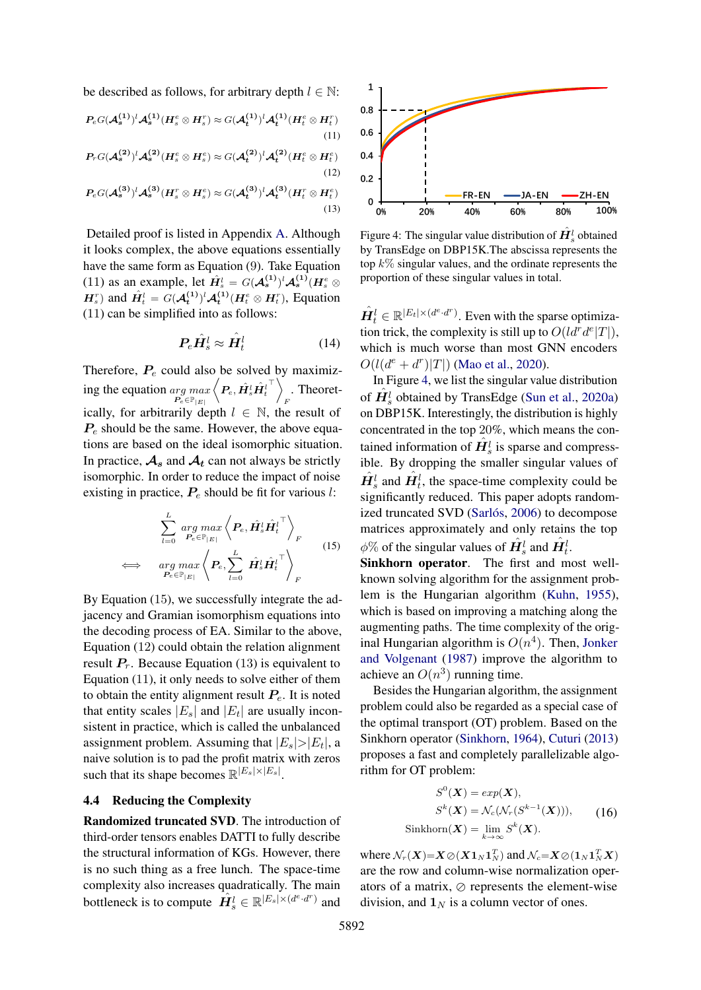be described as follows, for arbitrary depth  $l \in \mathbb{N}$ :

$$
P_e G(\mathcal{A}_s^{(1)})^l \mathcal{A}_s^{(1)}(H_s^e \otimes H_s^r) \approx G(\mathcal{A}_t^{(1)})^l \mathcal{A}_t^{(1)}(H_t^e \otimes H_t^r)
$$
\n(11)  
\n
$$
P_r G(\mathcal{A}_s^{(2)})^l \mathcal{A}_s^{(2)}(H_s^e \otimes H_s^e) \approx G(\mathcal{A}_t^{(2)})^l \mathcal{A}_t^{(2)}(H_t^e \otimes H_t^e)
$$
\n(12)  
\n
$$
P_e G(\mathcal{A}_s^{(3)})^l \mathcal{A}_s^{(3)}(H_s^r \otimes H_s^e) \approx G(\mathcal{A}_t^{(3)})^l \mathcal{A}_t^{(3)}(H_t^r \otimes H_t^e)
$$
\n(13)

Detailed proof is listed in Appendix [A.](#page-10-3) Although it looks complex, the above equations essentially have the same form as Equation (9). Take Equation (11) as an example, let  $\hat{H}_s^l = G(\mathcal{A}_s^{(1)})^l \mathcal{A}_s^{(1)}(H_s^e \otimes$  $H_s^r$ ) and  $\hat{H}_t^l = G(\mathcal{A}_t^{(1)})^l \mathcal{A}_t^{(1)}(H_t^e \otimes H_t^r)$ , Equation (11) can be simplified into as follows:

$$
\boldsymbol{P}_e \hat{\boldsymbol{H}}_s^l \approx \hat{\boldsymbol{H}}_t^l \tag{14}
$$

Therefore,  $P_e$  could also be solved by maximizing the equation  $\lim_{P_e \in \mathbb{P}_{|E|}}$  $\left\langle \boldsymbol{P}_{\!e},\hat{\boldsymbol{H}}_{\!s}^{l}\hat{\boldsymbol{H}}_{\!t}^{l}\right.$ ⊤∖ . Theoretically, for arbitrarily depth  $l \in \mathbb{N}$ , the result of  $P_e$  should be the same. However, the above equations are based on the ideal isomorphic situation. In practice,  $\mathcal{A}_s$  and  $\mathcal{A}_t$  can not always be strictly isomorphic. In order to reduce the impact of noise existing in practice,  $P_e$  should be fit for various l:

$$
\sum_{l=0}^{L} \underset{\mathbf{P}_e \in \mathbb{P}_{|E|}}{\arg \max} \left\langle \mathbf{P}_e, \hat{\mathbf{H}}_s^l \hat{\mathbf{H}}_t^{l\top} \right\rangle_F
$$
\n
$$
\iff \underset{\mathbf{P}_e \in \mathbb{P}_{|E|}}{\arg \max} \left\langle \mathbf{P}_e, \sum_{l=0}^{L} \hat{\mathbf{H}}_s^l \hat{\mathbf{H}}_t^{l\top} \right\rangle_F
$$
\n(15)

By Equation (15), we successfully integrate the adjacency and Gramian isomorphism equations into the decoding process of EA. Similar to the above, Equation (12) could obtain the relation alignment result  $P<sub>r</sub>$ . Because Equation (13) is equivalent to Equation (11), it only needs to solve either of them to obtain the entity alignment result  $P_e$ . It is noted that entity scales  $|E_s|$  and  $|E_t|$  are usually inconsistent in practice, which is called the unbalanced assignment problem. Assuming that  $|E_s|>|E_t|$ , a naive solution is to pad the profit matrix with zeros such that its shape becomes  $\mathbb{R}^{|E_s| \times |E_s|}$ .

#### 4.4 Reducing the Complexity

Randomized truncated SVD. The introduction of third-order tensors enables DATTI to fully describe the structural information of KGs. However, there is no such thing as a free lunch. The space-time complexity also increases quadratically. The main bottleneck is to compute  $\hat{H}_s^l \in \mathbb{R}^{|E_s| \times (d^e \cdot d^r)}$  and

<span id="page-4-0"></span>

Figure 4: The singular value distribution of  $\hat{H}_{s}^{l}$  obtained by TransEdge on DBP15K.The abscissa represents the top  $k\%$  singular values, and the ordinate represents the proportion of these singular values in total.

 $\hat{H}_t^l \in \mathbb{R}^{|E_t| \times (d^e \cdot d^r)}$ . Even with the sparse optimization trick, the complexity is still up to  $O(l d^{r} d^{e} |T|)$ , which is much worse than most GNN encoders  $O(l(d^e + d^r)|T|)$  [\(Mao et al.,](#page-8-1) [2020\)](#page-8-1).

In Figure [4,](#page-4-0) we list the singular value distribution of  $\hat{H}_{s}^{l}$  obtained by TransEdge [\(Sun et al.,](#page-9-14) [2020a\)](#page-9-14) on DBP15K. Interestingly, the distribution is highly concentrated in the top 20%, which means the contained information of  $\hat{H}_s^l$  is sparse and compressible. By dropping the smaller singular values of  $\hat{H}_{s}^{l}$  and  $\hat{H}_{t}^{l}$ , the space-time complexity could be significantly reduced. This paper adopts randomized truncated SVD [\(Sarlós,](#page-9-5) [2006\)](#page-9-5) to decompose matrices approximately and only retains the top  $\phi\%$  of the singular values of  $\hat{H}_{s}^{l}$  and  $\hat{H}_{t}^{l}$ .

Sinkhorn operator. The first and most wellknown solving algorithm for the assignment problem is the Hungarian algorithm [\(Kuhn,](#page-8-8) [1955\)](#page-8-8), which is based on improving a matching along the augmenting paths. The time complexity of the original Hungarian algorithm is  $O(n^4)$ . Then, [Jonker](#page-8-15) [and Volgenant](#page-8-15) [\(1987\)](#page-8-15) improve the algorithm to achieve an  $O(n^3)$  running time.

Besides the Hungarian algorithm, the assignment problem could also be regarded as a special case of the optimal transport (OT) problem. Based on the Sinkhorn operator [\(Sinkhorn,](#page-9-6) [1964\)](#page-9-6), [Cuturi](#page-8-16) [\(2013\)](#page-8-16) proposes a fast and completely parallelizable algorithm for OT problem:

$$
S^{0}(\mathbf{X}) = exp(\mathbf{X}),
$$
  
\n
$$
S^{k}(\mathbf{X}) = \mathcal{N}_{c}(\mathcal{N}_{r}(S^{k-1}(\mathbf{X}))), \qquad (16)
$$
  
\nSinkhorn $(\mathbf{X}) = \lim_{k \to \infty} S^{k}(\mathbf{X}).$ 

where  $\mathcal{N}_r(X)=X\oslash (X1_N 1_N^T)$  and  $\mathcal{N}_c=X\oslash (1_N 1_N^T X)$ are the row and column-wise normalization operators of a matrix,  $\oslash$  represents the element-wise division, and  $\mathbf{1}_N$  is a column vector of ones.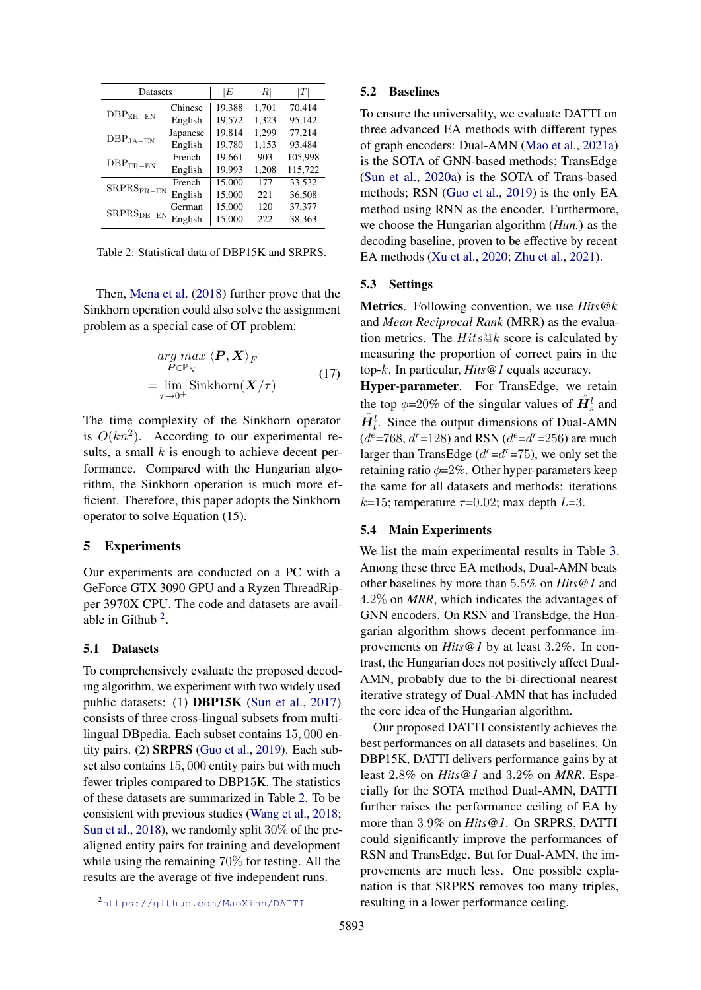<span id="page-5-1"></span>

| <b>Datasets</b>           | $\left E\right $ | R <sup>1</sup> | T     |         |
|---------------------------|------------------|----------------|-------|---------|
| $DBPZH-EN$                | Chinese          | 19,388         | 1,701 | 70,414  |
|                           | English          | 19,572         | 1,323 | 95,142  |
|                           | Japanese         | 19,814         | 1,299 | 77,214  |
| $DBP_{JA-EN}$             | English          | 19,780         | 1,153 | 93,484  |
|                           | French           | 19,661         | 903   | 105,998 |
| $\rm DBP_{FR-EN}$         | English          | 19.993         | 1,208 | 115,722 |
|                           | French           | 15,000         | 177   | 33,532  |
| ${\rm SRPRS}_{\rm FR-EN}$ | English          | 15,000         | 221   | 36,508  |
| ${\rm SRPRS}_{\rm DE-EN}$ | German           | 15,000         | 120   | 37,377  |
|                           | English          | 15,000         | 222   | 38,363  |

Table 2: Statistical data of DBP15K and SRPRS.

Then, [Mena et al.](#page-9-16) [\(2018\)](#page-9-16) further prove that the Sinkhorn operation could also solve the assignment problem as a special case of OT problem:

$$
\arg\max_{\boldsymbol{P}\in\mathbb{P}_N} \left\langle \boldsymbol{P}, \boldsymbol{X} \right\rangle_F
$$
\n
$$
= \lim_{\tau \to 0^+} \text{Sinkhorn}(\boldsymbol{X}/\tau) \tag{17}
$$

The time complexity of the Sinkhorn operator is  $O(kn^2)$ . According to our experimental results, a small  $k$  is enough to achieve decent performance. Compared with the Hungarian algorithm, the Sinkhorn operation is much more efficient. Therefore, this paper adopts the Sinkhorn operator to solve Equation (15).

## 5 Experiments

Our experiments are conducted on a PC with a GeForce GTX 3090 GPU and a Ryzen ThreadRipper 3970X CPU. The code and datasets are avail-able in Github<sup>[2](#page-5-0)</sup>.

#### 5.1 Datasets

To comprehensively evaluate the proposed decoding algorithm, we experiment with two widely used public datasets: (1) DBP15K [\(Sun et al.,](#page-9-3) [2017\)](#page-9-3) consists of three cross-lingual subsets from multilingual DBpedia. Each subset contains 15, 000 entity pairs. (2) SRPRS [\(Guo et al.,](#page-8-4) [2019\)](#page-8-4). Each subset also contains 15, 000 entity pairs but with much fewer triples compared to DBP15K. The statistics of these datasets are summarized in Table [2.](#page-5-1) To be consistent with previous studies [\(Wang et al.,](#page-9-0) [2018;](#page-9-0) [Sun et al.,](#page-9-10) [2018\)](#page-9-10), we randomly split 30% of the prealigned entity pairs for training and development while using the remaining 70% for testing. All the results are the average of five independent runs.

#### 5.2 Baselines

To ensure the universality, we evaluate DATTI on three advanced EA methods with different types of graph encoders: Dual-AMN [\(Mao et al.,](#page-8-6) [2021a\)](#page-8-6) is the SOTA of GNN-based methods; TransEdge [\(Sun et al.,](#page-9-14) [2020a\)](#page-9-14) is the SOTA of Trans-based methods; RSN [\(Guo et al.,](#page-8-4) [2019\)](#page-8-4) is the only EA method using RNN as the encoder. Furthermore, we choose the Hungarian algorithm (*Hun.*) as the decoding baseline, proven to be effective by recent EA methods [\(Xu et al.,](#page-9-4) [2020;](#page-9-4) [Zhu et al.,](#page-10-2) [2021\)](#page-10-2).

#### 5.3 Settings

Metrics. Following convention, we use *Hits@k* and *Mean Reciprocal Rank* (MRR) as the evaluation metrics. The  $Hits@k$  score is calculated by measuring the proportion of correct pairs in the top-k. In particular, *Hits@1* equals accuracy.

Hyper-parameter. For TransEdge, we retain the top  $\phi = 20\%$  of the singular values of  $\hat{H}_s^l$  and  $\hat{H}_t^l$ . Since the output dimensions of Dual-AMN  $(d^{e}$ =768,  $d^{r}$ =128) and RSN  $(d^{e}$ = $d^{r}$ =256) are much larger than TransEdge  $(d^e = d^r = 75)$ , we only set the retaining ratio  $\phi = 2\%$ . Other hyper-parameters keep the same for all datasets and methods: iterations  $k=15$ ; temperature  $\tau=0.02$ ; max depth  $L=3$ .

#### 5.4 Main Experiments

We list the main experimental results in Table [3.](#page-6-0) Among these three EA methods, Dual-AMN beats other baselines by more than 5.5% on *Hits@1* and 4.2% on *MRR*, which indicates the advantages of GNN encoders. On RSN and TransEdge, the Hungarian algorithm shows decent performance improvements on *Hits@1* by at least 3.2%. In contrast, the Hungarian does not positively affect Dual-AMN, probably due to the bi-directional nearest iterative strategy of Dual-AMN that has included the core idea of the Hungarian algorithm.

Our proposed DATTI consistently achieves the best performances on all datasets and baselines. On DBP15K, DATTI delivers performance gains by at least 2.8% on *Hits@1* and 3.2% on *MRR*. Especially for the SOTA method Dual-AMN, DATTI further raises the performance ceiling of EA by more than 3.9% on *Hits@1*. On SRPRS, DATTI could significantly improve the performances of RSN and TransEdge. But for Dual-AMN, the improvements are much less. One possible explanation is that SRPRS removes too many triples, resulting in a lower performance ceiling.

<span id="page-5-0"></span><sup>2</sup><https://github.com/MaoXinn/DATTI>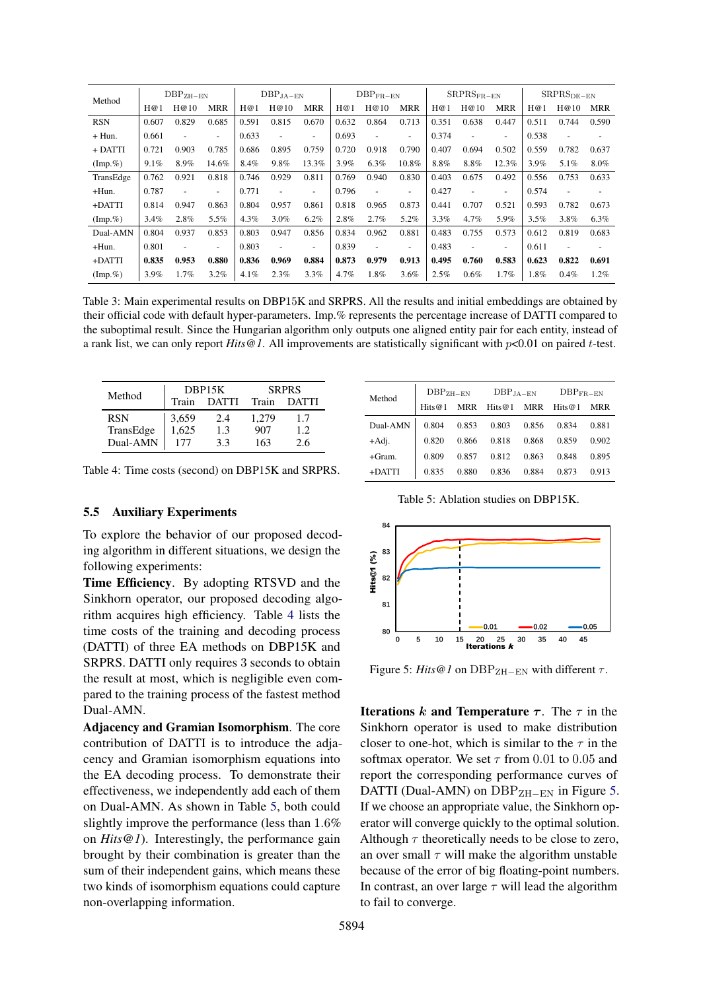<span id="page-6-0"></span>

| Method            |       | $DBPZH-EN$ |                          |         | $DBP_{JA-EN}$ |                          |       | $\rm DBP_{FR-EN}$ |                          |       | ${\rm SRPRS}_{\rm FR-EN}$ |       |         | $\rm SRPRS_{DE-EN}$ |            |
|-------------------|-------|------------|--------------------------|---------|---------------|--------------------------|-------|-------------------|--------------------------|-------|---------------------------|-------|---------|---------------------|------------|
|                   | H@1   | H@10       | <b>MRR</b>               | H@1     | H@10          | MRR                      | H@1   | H@10              | MRR                      | H@1   | H@10                      | MRR   | H@1     | H@10                | <b>MRR</b> |
| <b>RSN</b>        | 0.607 | 0.829      | 0.685                    | 0.591   | 0.815         | 0.670                    | 0.632 | 0.864             | 0.713                    | 0.351 | 0.638                     | 0.447 | 0.511   | 0.744               | 0.590      |
| $+$ Hun.          | 0.661 |            | $\overline{\phantom{a}}$ | 0.633   |               | $\overline{\phantom{a}}$ | 0.693 |                   | $\overline{\phantom{a}}$ | 0.374 |                           |       | 0.538   |                     |            |
| + DATTI           | 0.721 | 0.903      | 0.785                    | 0.686   | 0.895         | 0.759                    | 0.720 | 0.918             | 0.790                    | 0.407 | 0.694                     | 0.502 | 0.559   | 0.782               | 0.637      |
| $(\text{Imp.}\%)$ | 9.1%  | 8.9%       | 14.6%                    | 8.4%    | 9.8%          | 13.3%                    | 3.9%  | $6.3\%$           | 10.8%                    | 8.8%  | 8.8%                      | 12.3% | $3.9\%$ | 5.1%                | 8.0%       |
| TransEdge         | 0.762 | 0.921      | 0.818                    | 0.746   | 0.929         | 0.811                    | 0.769 | 0.940             | 0.830                    | 0.403 | 0.675                     | 0.492 | 0.556   | 0.753               | 0.633      |
| +Hun.             | 0.787 |            | $\overline{\phantom{a}}$ | 0.771   |               | $\overline{\phantom{a}}$ | 0.796 |                   | ۰                        | 0.427 |                           |       | 0.574   |                     |            |
| +DATTI            | 0.814 | 0.947      | 0.863                    | 0.804   | 0.957         | 0.861                    | 0.818 | 0.965             | 0.873                    | 0.441 | 0.707                     | 0.521 | 0.593   | 0.782               | 0.673      |
| $(\text{Imp.}\%)$ | 3.4%  | 2.8%       | 5.5%                     | $4.3\%$ | $3.0\%$       | 6.2%                     | 2.8%  | 2.7%              | 5.2%                     | 3.3%  | 4.7%                      | 5.9%  | 3.5%    | 3.8%                | $6.3\%$    |
| Dual-AMN          | 0.804 | 0.937      | 0.853                    | 0.803   | 0.947         | 0.856                    | 0.834 | 0.962             | 0.881                    | 0.483 | 0.755                     | 0.573 | 0.612   | 0.819               | 0.683      |
| +Hun.             | 0.801 |            | $\overline{\phantom{a}}$ | 0.803   |               | $\overline{\phantom{a}}$ | 0.839 |                   | ۰                        | 0.483 |                           |       | 0.611   | ۰                   |            |
| +DATTI            | 0.835 | 0.953      | 0.880                    | 0.836   | 0.969         | 0.884                    | 0.873 | 0.979             | 0.913                    | 0.495 | 0.760                     | 0.583 | 0.623   | 0.822               | 0.691      |
| $(\text{Imp.}\%)$ | 3.9%  | 1.7%       | 3.2%                     | $4.1\%$ | 2.3%          | 3.3%                     | 4.7%  | 1.8%              | 3.6%                     | 2.5%  | 0.6%                      | 1.7%  | $1.8\%$ | 0.4%                | $1.2\%$    |

Table 3: Main experimental results on DBP15K and SRPRS. All the results and initial embeddings are obtained by their official code with default hyper-parameters. Imp.% represents the percentage increase of DATTI compared to the suboptimal result. Since the Hungarian algorithm only outputs one aligned entity pair for each entity, instead of a rank list, we can only report  $Hits@1$ . All improvements are statistically significant with  $p<0.01$  on paired t-test.

<span id="page-6-1"></span>

| Method     |       | DBP <sub>15</sub> K | <b>SRPRS</b> |              |  |  |
|------------|-------|---------------------|--------------|--------------|--|--|
|            | Train | <b>DATTI</b>        | Train        | <b>DATTI</b> |  |  |
| <b>RSN</b> | 3,659 | 2.4                 | 1,279        | 1.7          |  |  |
| TransEdge  | 1,625 | 1.3                 | 907          | 1.2          |  |  |
| Dual-AMN   | 177   | 3.3                 | 163          | 2.6          |  |  |

Table 4: Time costs (second) on DBP15K and SRPRS.

## 5.5 Auxiliary Experiments

To explore the behavior of our proposed decoding algorithm in different situations, we design the following experiments:

Time Efficiency. By adopting RTSVD and the Sinkhorn operator, our proposed decoding algorithm acquires high efficiency. Table [4](#page-6-1) lists the time costs of the training and decoding process (DATTI) of three EA methods on DBP15K and SRPRS. DATTI only requires 3 seconds to obtain the result at most, which is negligible even compared to the training process of the fastest method Dual-AMN.

Adjacency and Gramian Isomorphism. The core contribution of DATTI is to introduce the adjacency and Gramian isomorphism equations into the EA decoding process. To demonstrate their effectiveness, we independently add each of them on Dual-AMN. As shown in Table [5,](#page-6-2) both could slightly improve the performance (less than 1.6% on *Hits@1*). Interestingly, the performance gain brought by their combination is greater than the sum of their independent gains, which means these two kinds of isomorphism equations could capture non-overlapping information.

<span id="page-6-2"></span>

| Method    | $DBPZH-FN$ |            | $DBP_{JA-EN}$ |            | $DBPFR-EN$ |       |  |
|-----------|------------|------------|---------------|------------|------------|-------|--|
|           | Hits $@1$  | <b>MRR</b> | Hits $@1$     | <b>MRR</b> | Hits@1     | MRR   |  |
| Dual-AMN  | 0.804      | 0.853      | 0.803         | 0.856      | 0.834      | 0.881 |  |
| +Adj.     | 0.820      | 0.866      | 0.818         | 0.868      | 0.859      | 0.902 |  |
| $+Gram.$  | 0.809      | 0.857      | 0.812         | 0.863      | 0.848      | 0.895 |  |
| $+$ DATTI | 0.835      | 0.880      | 0.836         | 0.884      | 0.873      | 0.913 |  |

Table 5: Ablation studies on DBP15K.

<span id="page-6-3"></span>

Figure 5: *Hits*@1 on  $DBP_{ZH-EN}$  with different  $\tau$ .

**Iterations k and Temperature**  $\tau$ . The  $\tau$  in the Sinkhorn operator is used to make distribution closer to one-hot, which is similar to the  $\tau$  in the softmax operator. We set  $\tau$  from 0.01 to 0.05 and report the corresponding performance curves of DATTI (Dual-AMN) on  $DBP_{ZH-FN}$  in Figure [5.](#page-6-3) If we choose an appropriate value, the Sinkhorn operator will converge quickly to the optimal solution. Although  $\tau$  theoretically needs to be close to zero, an over small  $\tau$  will make the algorithm unstable because of the error of big floating-point numbers. In contrast, an over large  $\tau$  will lead the algorithm to fail to converge.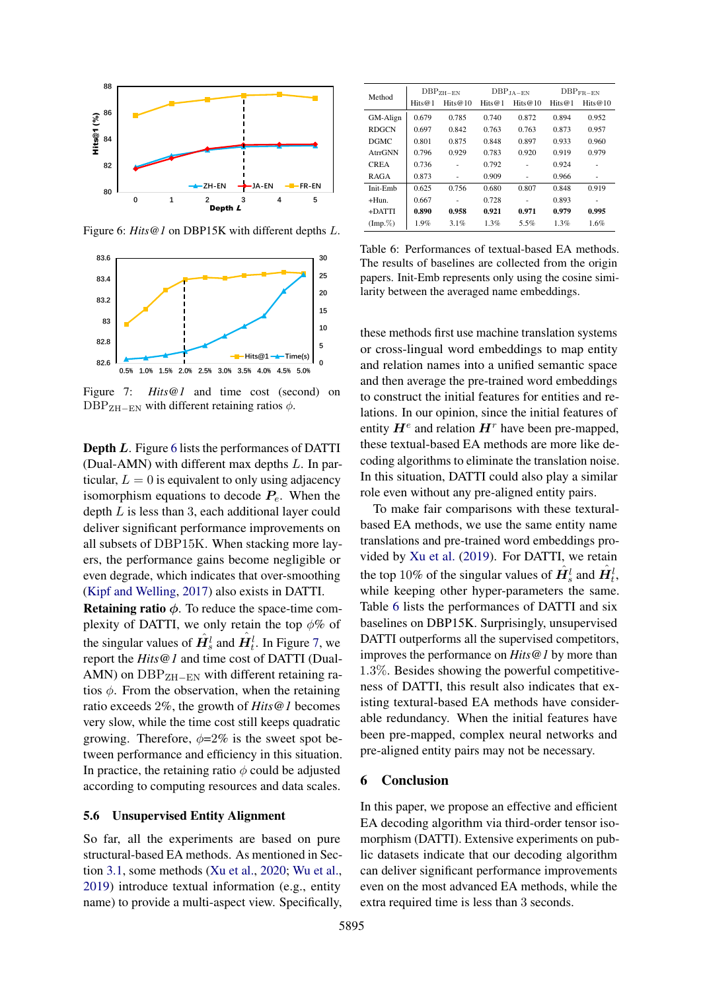<span id="page-7-0"></span>

Figure 6: *Hits@1* on DBP15K with different depths L.

<span id="page-7-1"></span>

Figure 7: *Hits*@1 and time cost (second) on  $DBP<sub>ZH-EN</sub>$  with different retaining ratios  $\phi$ .

Depth L. Figure [6](#page-7-0) lists the performances of DATTI (Dual-AMN) with different max depths L. In particular,  $L = 0$  is equivalent to only using adjacency isomorphism equations to decode  $P_e$ . When the depth  $L$  is less than 3, each additional layer could deliver significant performance improvements on all subsets of DBP15K. When stacking more layers, the performance gains become negligible or even degrade, which indicates that over-smoothing [\(Kipf and Welling,](#page-8-3) [2017\)](#page-8-3) also exists in DATTI.

Retaining ratio  $\phi$ . To reduce the space-time complexity of DATTI, we only retain the top  $\phi\%$  of the singular values of  $\hat{H}_{s}^{l}$  and  $\hat{H}_{t}^{l}$ . In Figure [7,](#page-7-1) we report the *Hits@1* and time cost of DATTI (Dual-AMN) on  $DBP<sub>ZH–EN</sub>$  with different retaining ratios  $\phi$ . From the observation, when the retaining ratio exceeds 2%, the growth of *Hits@1* becomes very slow, while the time cost still keeps quadratic growing. Therefore,  $\phi = 2\%$  is the sweet spot between performance and efficiency in this situation. In practice, the retaining ratio  $\phi$  could be adjusted according to computing resources and data scales.

### 5.6 Unsupervised Entity Alignment

So far, all the experiments are based on pure structural-based EA methods. As mentioned in Section [3.1,](#page-1-2) some methods [\(Xu et al.,](#page-9-4) [2020;](#page-9-4) [Wu et al.,](#page-9-8) [2019\)](#page-9-8) introduce textual information (e.g., entity name) to provide a multi-aspect view. Specifically,

<span id="page-7-2"></span>

| Method       | $DBPZH-EN$ |            |           | $DBPJA-EN$ | $DBPFR-EN$ |            |  |
|--------------|------------|------------|-----------|------------|------------|------------|--|
|              | Hits $@1$  | Hits $@10$ | Hits $@1$ | Hits $@10$ | Hits $@1$  | Hits $@10$ |  |
| GM-Align     | 0.679      | 0.785      | 0.740     | 0.872      | 0.894      | 0.952      |  |
| <b>RDGCN</b> | 0.697      | 0.842      | 0.763     | 0.763      | 0.873      | 0.957      |  |
| <b>DGMC</b>  | 0.801      | 0.875      | 0.848     | 0.897      | 0.933      | 0.960      |  |
| AtrrGNN      | 0.796      | 0.929      | 0.783     | 0.920      | 0.919      | 0.979      |  |
| <b>CREA</b>  | 0.736      |            | 0.792     |            | 0.924      |            |  |
| RAGA         | 0.873      |            | 0.909     |            | 0.966      |            |  |
| Init-Emb     | 0.625      | 0.756      | 0.680     | 0.807      | 0.848      | 0.919      |  |
| $+H$ un.     | 0.667      |            | 0.728     |            | 0.893      |            |  |
| +DATTI       | 0.890      | 0.958      | 0.921     | 0.971      | 0.979      | 0.995      |  |
| (Imp. %)     | 1.9%       | 3.1%       | 1.3%      | 5.5%       | 1.3%       | 1.6%       |  |

Table 6: Performances of textual-based EA methods. The results of baselines are collected from the origin papers. Init-Emb represents only using the cosine similarity between the averaged name embeddings.

these methods first use machine translation systems or cross-lingual word embeddings to map entity and relation names into a unified semantic space and then average the pre-trained word embeddings to construct the initial features for entities and relations. In our opinion, since the initial features of entity  $H^e$  and relation  $H^r$  have been pre-mapped, these textual-based EA methods are more like decoding algorithms to eliminate the translation noise. In this situation, DATTI could also play a similar role even without any pre-aligned entity pairs.

To make fair comparisons with these texturalbased EA methods, we use the same entity name translations and pre-trained word embeddings provided by [Xu et al.](#page-9-11) [\(2019\)](#page-9-11). For DATTI, we retain the top 10% of the singular values of  $\hat{H}_{s}^{l}$  and  $\hat{H}_{t}^{l}$ , while keeping other hyper-parameters the same. Table [6](#page-7-2) lists the performances of DATTI and six baselines on DBP15K. Surprisingly, unsupervised DATTI outperforms all the supervised competitors, improves the performance on *Hits@1* by more than 1.3%. Besides showing the powerful competitiveness of DATTI, this result also indicates that existing textural-based EA methods have considerable redundancy. When the initial features have been pre-mapped, complex neural networks and pre-aligned entity pairs may not be necessary.

## 6 Conclusion

In this paper, we propose an effective and efficient EA decoding algorithm via third-order tensor isomorphism (DATTI). Extensive experiments on public datasets indicate that our decoding algorithm can deliver significant performance improvements even on the most advanced EA methods, while the extra required time is less than 3 seconds.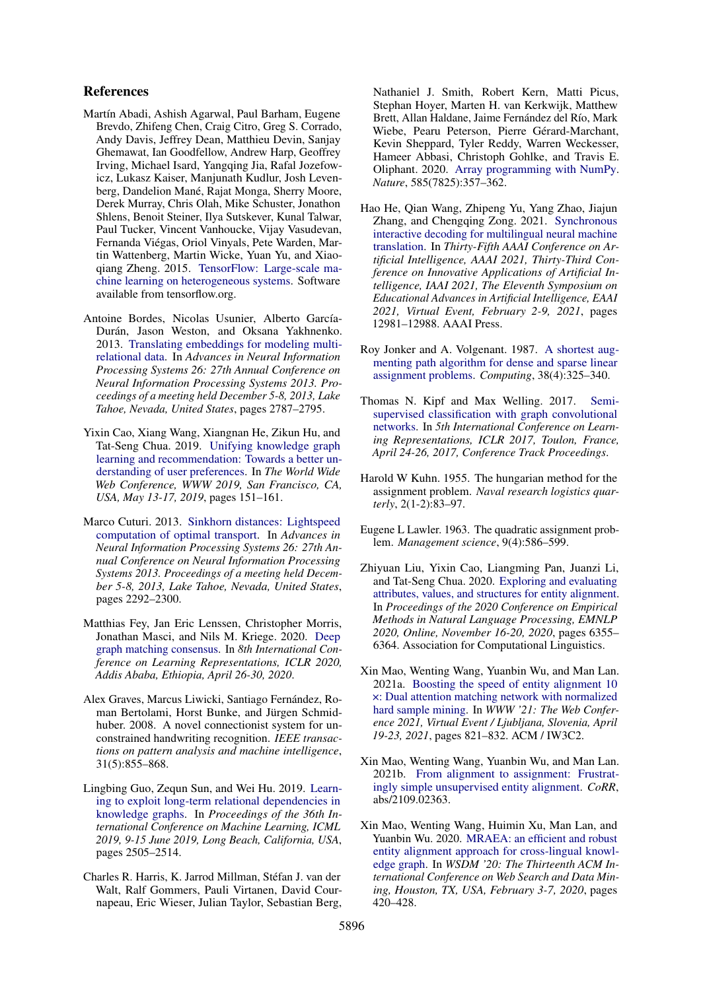## References

- <span id="page-8-13"></span>Martín Abadi, Ashish Agarwal, Paul Barham, Eugene Brevdo, Zhifeng Chen, Craig Citro, Greg S. Corrado, Andy Davis, Jeffrey Dean, Matthieu Devin, Sanjay Ghemawat, Ian Goodfellow, Andrew Harp, Geoffrey Irving, Michael Isard, Yangqing Jia, Rafal Jozefowicz, Lukasz Kaiser, Manjunath Kudlur, Josh Levenberg, Dandelion Mané, Rajat Monga, Sherry Moore, Derek Murray, Chris Olah, Mike Schuster, Jonathon Shlens, Benoit Steiner, Ilya Sutskever, Kunal Talwar, Paul Tucker, Vincent Vanhoucke, Vijay Vasudevan, Fernanda Viégas, Oriol Vinyals, Pete Warden, Martin Wattenberg, Martin Wicke, Yuan Yu, and Xiaoqiang Zheng. 2015. [TensorFlow: Large-scale ma](https://www.tensorflow.org/)[chine learning on heterogeneous systems.](https://www.tensorflow.org/) Software available from tensorflow.org.
- <span id="page-8-2"></span>Antoine Bordes, Nicolas Usunier, Alberto García-Durán, Jason Weston, and Oksana Yakhnenko. 2013. [Translating embeddings for modeling multi](http://papers.nips.cc/paper/5071-translating-embeddings-for-modeling-multi-relational-data)[relational data.](http://papers.nips.cc/paper/5071-translating-embeddings-for-modeling-multi-relational-data) In *Advances in Neural Information Processing Systems 26: 27th Annual Conference on Neural Information Processing Systems 2013. Proceedings of a meeting held December 5-8, 2013, Lake Tahoe, Nevada, United States*, pages 2787–2795.
- <span id="page-8-0"></span>Yixin Cao, Xiang Wang, Xiangnan He, Zikun Hu, and Tat-Seng Chua. 2019. [Unifying knowledge graph](https://doi.org/10.1145/3308558.3313705) [learning and recommendation: Towards a better un](https://doi.org/10.1145/3308558.3313705)[derstanding of user preferences.](https://doi.org/10.1145/3308558.3313705) In *The World Wide Web Conference, WWW 2019, San Francisco, CA, USA, May 13-17, 2019*, pages 151–161.
- <span id="page-8-16"></span>Marco Cuturi. 2013. [Sinkhorn distances: Lightspeed](https://proceedings.neurips.cc/paper/2013/hash/af21d0c97db2e27e13572cbf59eb343d-Abstract.html) [computation of optimal transport.](https://proceedings.neurips.cc/paper/2013/hash/af21d0c97db2e27e13572cbf59eb343d-Abstract.html) In *Advances in Neural Information Processing Systems 26: 27th Annual Conference on Neural Information Processing Systems 2013. Proceedings of a meeting held December 5-8, 2013, Lake Tahoe, Nevada, United States*, pages 2292–2300.
- <span id="page-8-9"></span>Matthias Fey, Jan Eric Lenssen, Christopher Morris, Jonathan Masci, and Nils M. Kriege. 2020. [Deep](https://openreview.net/forum?id=HyeJf1HKvS) [graph matching consensus.](https://openreview.net/forum?id=HyeJf1HKvS) In *8th International Conference on Learning Representations, ICLR 2020, Addis Ababa, Ethiopia, April 26-30, 2020*.
- <span id="page-8-5"></span>Alex Graves, Marcus Liwicki, Santiago Fernández, Roman Bertolami, Horst Bunke, and Jürgen Schmidhuber. 2008. A novel connectionist system for unconstrained handwriting recognition. *IEEE transactions on pattern analysis and machine intelligence*, 31(5):855–868.
- <span id="page-8-4"></span>Lingbing Guo, Zequn Sun, and Wei Hu. 2019. [Learn](http://proceedings.mlr.press/v97/guo19c.html)[ing to exploit long-term relational dependencies in](http://proceedings.mlr.press/v97/guo19c.html) [knowledge graphs.](http://proceedings.mlr.press/v97/guo19c.html) In *Proceedings of the 36th International Conference on Machine Learning, ICML 2019, 9-15 June 2019, Long Beach, California, USA*, pages 2505–2514.
- <span id="page-8-12"></span>Charles R. Harris, K. Jarrod Millman, Stéfan J. van der Walt, Ralf Gommers, Pauli Virtanen, David Cournapeau, Eric Wieser, Julian Taylor, Sebastian Berg,

Nathaniel J. Smith, Robert Kern, Matti Picus, Stephan Hoyer, Marten H. van Kerkwijk, Matthew Brett, Allan Haldane, Jaime Fernández del Río, Mark Wiebe, Pearu Peterson, Pierre Gérard-Marchant, Kevin Sheppard, Tyler Reddy, Warren Weckesser, Hameer Abbasi, Christoph Gohlke, and Travis E. Oliphant. 2020. [Array programming with NumPy.](https://doi.org/10.1038/s41586-020-2649-2) *Nature*, 585(7825):357–362.

- <span id="page-8-7"></span>Hao He, Qian Wang, Zhipeng Yu, Yang Zhao, Jiajun Zhang, and Chengqing Zong. 2021. [Synchronous](https://ojs.aaai.org/index.php/AAAI/article/view/17535) [interactive decoding for multilingual neural machine](https://ojs.aaai.org/index.php/AAAI/article/view/17535) [translation.](https://ojs.aaai.org/index.php/AAAI/article/view/17535) In *Thirty-Fifth AAAI Conference on Artificial Intelligence, AAAI 2021, Thirty-Third Conference on Innovative Applications of Artificial Intelligence, IAAI 2021, The Eleventh Symposium on Educational Advances in Artificial Intelligence, EAAI 2021, Virtual Event, February 2-9, 2021*, pages 12981–12988. AAAI Press.
- <span id="page-8-15"></span>Roy Jonker and A. Volgenant. 1987. [A shortest aug](https://doi.org/10.1007/BF02278710)[menting path algorithm for dense and sparse linear](https://doi.org/10.1007/BF02278710) [assignment problems.](https://doi.org/10.1007/BF02278710) *Computing*, 38(4):325–340.
- <span id="page-8-3"></span>Thomas N. Kipf and Max Welling. 2017. [Semi](https://openreview.net/forum?id=SJU4ayYgl)[supervised classification with graph convolutional](https://openreview.net/forum?id=SJU4ayYgl) [networks.](https://openreview.net/forum?id=SJU4ayYgl) In *5th International Conference on Learning Representations, ICLR 2017, Toulon, France, April 24-26, 2017, Conference Track Proceedings*.
- <span id="page-8-8"></span>Harold W Kuhn. 1955. The hungarian method for the assignment problem. *Naval research logistics quarterly*, 2(1-2):83–97.
- <span id="page-8-14"></span>Eugene L Lawler. 1963. The quadratic assignment problem. *Management science*, 9(4):586–599.
- <span id="page-8-11"></span>Zhiyuan Liu, Yixin Cao, Liangming Pan, Juanzi Li, and Tat-Seng Chua. 2020. [Exploring and evaluating](https://doi.org/10.18653/v1/2020.emnlp-main.515) [attributes, values, and structures for entity alignment.](https://doi.org/10.18653/v1/2020.emnlp-main.515) In *Proceedings of the 2020 Conference on Empirical Methods in Natural Language Processing, EMNLP 2020, Online, November 16-20, 2020*, pages 6355– 6364. Association for Computational Linguistics.
- <span id="page-8-6"></span>Xin Mao, Wenting Wang, Yuanbin Wu, and Man Lan. 2021a. [Boosting the speed of entity alignment 10](https://doi.org/10.1145/3442381.3449897) [×: Dual attention matching network with normalized](https://doi.org/10.1145/3442381.3449897) [hard sample mining.](https://doi.org/10.1145/3442381.3449897) In *WWW '21: The Web Conference 2021, Virtual Event / Ljubljana, Slovenia, April 19-23, 2021*, pages 821–832. ACM / IW3C2.
- <span id="page-8-10"></span>Xin Mao, Wenting Wang, Yuanbin Wu, and Man Lan. 2021b. [From alignment to assignment: Frustrat](http://arxiv.org/abs/2109.02363)[ingly simple unsupervised entity alignment.](http://arxiv.org/abs/2109.02363) *CoRR*, abs/2109.02363.
- <span id="page-8-1"></span>Xin Mao, Wenting Wang, Huimin Xu, Man Lan, and Yuanbin Wu. 2020. [MRAEA: an efficient and robust](https://doi.org/10.1145/3336191.3371804) [entity alignment approach for cross-lingual knowl](https://doi.org/10.1145/3336191.3371804)[edge graph.](https://doi.org/10.1145/3336191.3371804) In *WSDM '20: The Thirteenth ACM International Conference on Web Search and Data Mining, Houston, TX, USA, February 3-7, 2020*, pages 420–428.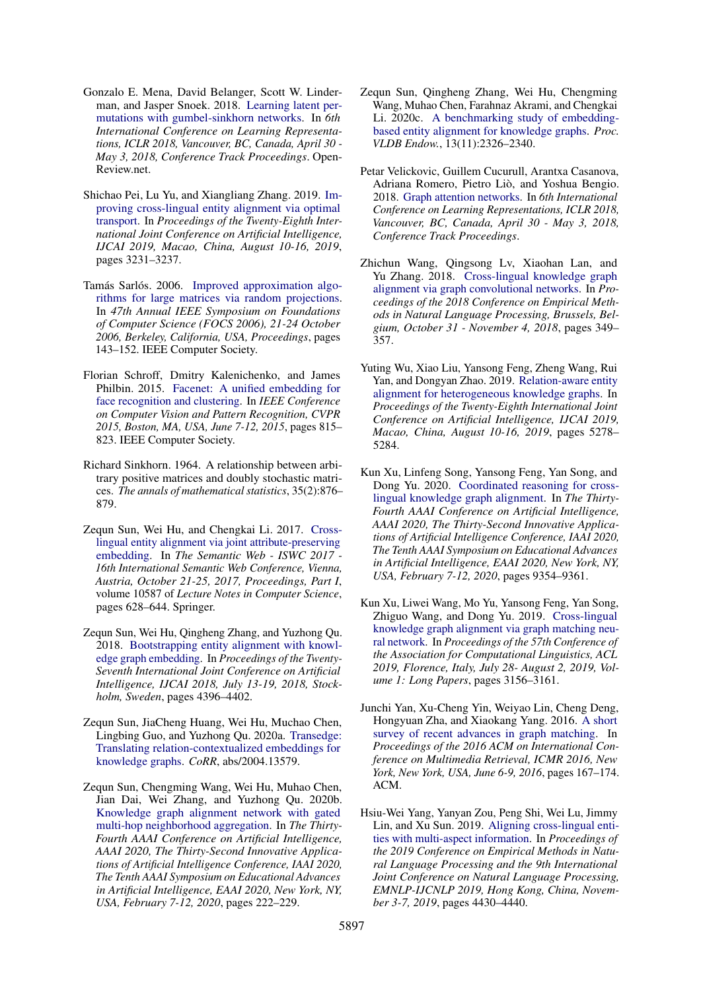- <span id="page-9-16"></span>Gonzalo E. Mena, David Belanger, Scott W. Linderman, and Jasper Snoek. 2018. [Learning latent per](https://openreview.net/forum?id=Byt3oJ-0W)[mutations with gumbel-sinkhorn networks.](https://openreview.net/forum?id=Byt3oJ-0W) In *6th International Conference on Learning Representations, ICLR 2018, Vancouver, BC, Canada, April 30 - May 3, 2018, Conference Track Proceedings*. Open-Review.net.
- <span id="page-9-13"></span>Shichao Pei, Lu Yu, and Xiangliang Zhang. 2019. [Im](https://doi.org/10.24963/ijcai.2019/448)[proving cross-lingual entity alignment via optimal](https://doi.org/10.24963/ijcai.2019/448) [transport.](https://doi.org/10.24963/ijcai.2019/448) In *Proceedings of the Twenty-Eighth International Joint Conference on Artificial Intelligence, IJCAI 2019, Macao, China, August 10-16, 2019*, pages 3231–3237.
- <span id="page-9-5"></span>Tamás Sarlós. 2006. [Improved approximation algo](https://doi.org/10.1109/FOCS.2006.37)[rithms for large matrices via random projections.](https://doi.org/10.1109/FOCS.2006.37) In *47th Annual IEEE Symposium on Foundations of Computer Science (FOCS 2006), 21-24 October 2006, Berkeley, California, USA, Proceedings*, pages 143–152. IEEE Computer Society.
- <span id="page-9-9"></span>Florian Schroff, Dmitry Kalenichenko, and James Philbin. 2015. [Facenet: A unified embedding for](https://doi.org/10.1109/CVPR.2015.7298682) [face recognition and clustering.](https://doi.org/10.1109/CVPR.2015.7298682) In *IEEE Conference on Computer Vision and Pattern Recognition, CVPR 2015, Boston, MA, USA, June 7-12, 2015*, pages 815– 823. IEEE Computer Society.
- <span id="page-9-6"></span>Richard Sinkhorn. 1964. A relationship between arbitrary positive matrices and doubly stochastic matrices. *The annals of mathematical statistics*, 35(2):876– 879.
- <span id="page-9-3"></span>Zequn Sun, Wei Hu, and Chengkai Li. 2017. [Cross](https://doi.org/10.1007/978-3-319-68288-4_37)[lingual entity alignment via joint attribute-preserving](https://doi.org/10.1007/978-3-319-68288-4_37) [embedding.](https://doi.org/10.1007/978-3-319-68288-4_37) In *The Semantic Web - ISWC 2017 - 16th International Semantic Web Conference, Vienna, Austria, October 21-25, 2017, Proceedings, Part I*, volume 10587 of *Lecture Notes in Computer Science*, pages 628–644. Springer.
- <span id="page-9-10"></span>Zequn Sun, Wei Hu, Qingheng Zhang, and Yuzhong Qu. 2018. [Bootstrapping entity alignment with knowl](https://doi.org/10.24963/ijcai.2018/611)[edge graph embedding.](https://doi.org/10.24963/ijcai.2018/611) In *Proceedings of the Twenty-Seventh International Joint Conference on Artificial Intelligence, IJCAI 2018, July 13-19, 2018, Stockholm, Sweden*, pages 4396–4402.
- <span id="page-9-14"></span>Zequn Sun, JiaCheng Huang, Wei Hu, Muchao Chen, Lingbing Guo, and Yuzhong Qu. 2020a. [Transedge:](http://arxiv.org/abs/2004.13579) [Translating relation-contextualized embeddings for](http://arxiv.org/abs/2004.13579) [knowledge graphs.](http://arxiv.org/abs/2004.13579) *CoRR*, abs/2004.13579.
- <span id="page-9-1"></span>Zequn Sun, Chengming Wang, Wei Hu, Muhao Chen, Jian Dai, Wei Zhang, and Yuzhong Qu. 2020b. [Knowledge graph alignment network with gated](https://aaai.org/ojs/index.php/AAAI/article/view/5354) [multi-hop neighborhood aggregation.](https://aaai.org/ojs/index.php/AAAI/article/view/5354) In *The Thirty-Fourth AAAI Conference on Artificial Intelligence, AAAI 2020, The Thirty-Second Innovative Applications of Artificial Intelligence Conference, IAAI 2020, The Tenth AAAI Symposium on Educational Advances in Artificial Intelligence, EAAI 2020, New York, NY, USA, February 7-12, 2020*, pages 222–229.
- <span id="page-9-2"></span>Zequn Sun, Qingheng Zhang, Wei Hu, Chengming Wang, Muhao Chen, Farahnaz Akrami, and Chengkai Li. 2020c. [A benchmarking study of embedding](http://www.vldb.org/pvldb/vol13/p2326-sun.pdf)[based entity alignment for knowledge graphs.](http://www.vldb.org/pvldb/vol13/p2326-sun.pdf) *Proc. VLDB Endow.*, 13(11):2326–2340.
- <span id="page-9-7"></span>Petar Velickovic, Guillem Cucurull, Arantxa Casanova, Adriana Romero, Pietro Liò, and Yoshua Bengio. 2018. [Graph attention networks.](https://openreview.net/forum?id=rJXMpikCZ) In *6th International Conference on Learning Representations, ICLR 2018, Vancouver, BC, Canada, April 30 - May 3, 2018, Conference Track Proceedings*.
- <span id="page-9-0"></span>Zhichun Wang, Qingsong Lv, Xiaohan Lan, and Yu Zhang. 2018. [Cross-lingual knowledge graph](https://doi.org/10.18653/v1/d18-1032) [alignment via graph convolutional networks.](https://doi.org/10.18653/v1/d18-1032) In *Proceedings of the 2018 Conference on Empirical Methods in Natural Language Processing, Brussels, Belgium, October 31 - November 4, 2018*, pages 349– 357.
- <span id="page-9-8"></span>Yuting Wu, Xiao Liu, Yansong Feng, Zheng Wang, Rui Yan, and Dongyan Zhao. 2019. [Relation-aware entity](https://doi.org/10.24963/ijcai.2019/733) [alignment for heterogeneous knowledge graphs.](https://doi.org/10.24963/ijcai.2019/733) In *Proceedings of the Twenty-Eighth International Joint Conference on Artificial Intelligence, IJCAI 2019, Macao, China, August 10-16, 2019*, pages 5278– 5284.
- <span id="page-9-4"></span>Kun Xu, Linfeng Song, Yansong Feng, Yan Song, and Dong Yu. 2020. [Coordinated reasoning for cross](https://aaai.org/ojs/index.php/AAAI/article/view/6476)[lingual knowledge graph alignment.](https://aaai.org/ojs/index.php/AAAI/article/view/6476) In *The Thirty-Fourth AAAI Conference on Artificial Intelligence, AAAI 2020, The Thirty-Second Innovative Applications of Artificial Intelligence Conference, IAAI 2020, The Tenth AAAI Symposium on Educational Advances in Artificial Intelligence, EAAI 2020, New York, NY, USA, February 7-12, 2020*, pages 9354–9361.
- <span id="page-9-11"></span>Kun Xu, Liwei Wang, Mo Yu, Yansong Feng, Yan Song, Zhiguo Wang, and Dong Yu. 2019. [Cross-lingual](https://doi.org/10.18653/v1/p19-1304) [knowledge graph alignment via graph matching neu](https://doi.org/10.18653/v1/p19-1304)[ral network.](https://doi.org/10.18653/v1/p19-1304) In *Proceedings of the 57th Conference of the Association for Computational Linguistics, ACL 2019, Florence, Italy, July 28- August 2, 2019, Volume 1: Long Papers*, pages 3156–3161.
- <span id="page-9-15"></span>Junchi Yan, Xu-Cheng Yin, Weiyao Lin, Cheng Deng, Hongyuan Zha, and Xiaokang Yang. 2016. [A short](https://doi.org/10.1145/2911996.2912035) [survey of recent advances in graph matching.](https://doi.org/10.1145/2911996.2912035) In *Proceedings of the 2016 ACM on International Conference on Multimedia Retrieval, ICMR 2016, New York, New York, USA, June 6-9, 2016*, pages 167–174. ACM.
- <span id="page-9-12"></span>Hsiu-Wei Yang, Yanyan Zou, Peng Shi, Wei Lu, Jimmy Lin, and Xu Sun. 2019. [Aligning cross-lingual enti](https://doi.org/10.18653/v1/D19-1451)[ties with multi-aspect information.](https://doi.org/10.18653/v1/D19-1451) In *Proceedings of the 2019 Conference on Empirical Methods in Natural Language Processing and the 9th International Joint Conference on Natural Language Processing, EMNLP-IJCNLP 2019, Hong Kong, China, November 3-7, 2019*, pages 4430–4440.